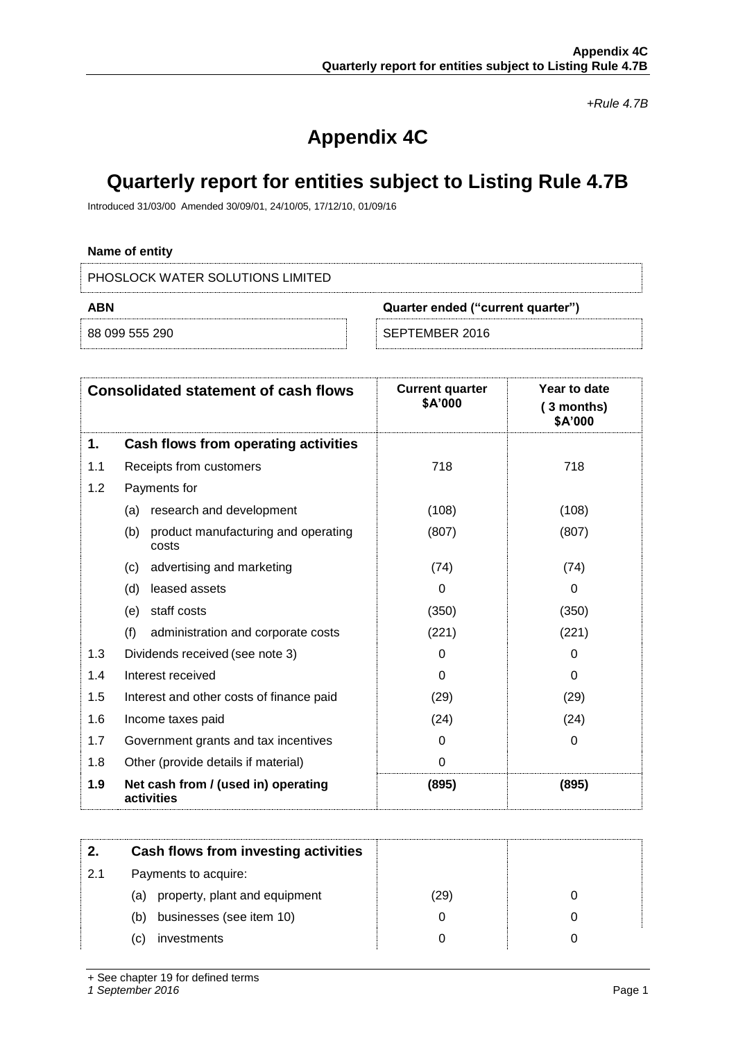*+Rule 4.7B*

# **Appendix 4C**

## **Quarterly report for entities subject to Listing Rule 4.7B**

Introduced 31/03/00 Amended 30/09/01, 24/10/05, 17/12/10, 01/09/16

## **Name of entity**

PHOSLOCK WATER SOLUTIONS LIMITED

| ABN            | Quarter ended ("current quarter") |
|----------------|-----------------------------------|
| 88 099 555 290 | SEPTEMBER 2016 '                  |

|     | <b>Consolidated statement of cash flows</b>         | <b>Current quarter</b><br>\$A'000 | Year to date<br>(3 months)<br>\$A'000 |
|-----|-----------------------------------------------------|-----------------------------------|---------------------------------------|
| 1.  | Cash flows from operating activities                |                                   |                                       |
| 1.1 | Receipts from customers                             | 718                               | 718                                   |
| 1.2 | Payments for                                        |                                   |                                       |
|     | research and development<br>(a)                     | (108)                             | (108)                                 |
|     | (b)<br>product manufacturing and operating<br>costs | (807)                             | (807)                                 |
|     | advertising and marketing<br>(c)                    | (74)                              | (74)                                  |
|     | (d)<br>leased assets                                | 0                                 | 0                                     |
|     | staff costs<br>(e)                                  | (350)                             | (350)                                 |
|     | (f)<br>administration and corporate costs           | (221)                             | (221)                                 |
| 1.3 | Dividends received (see note 3)                     | 0                                 | 0                                     |
| 1.4 | Interest received                                   | 0                                 | 0                                     |
| 1.5 | Interest and other costs of finance paid            | (29)                              | (29)                                  |
| 1.6 | Income taxes paid                                   | (24)                              | (24)                                  |
| 1.7 | Government grants and tax incentives                | 0                                 | 0                                     |
| 1.8 | Other (provide details if material)                 | 0                                 |                                       |
| 1.9 | Net cash from / (used in) operating<br>activities   | (895)                             | (895)                                 |

|     | Cash flows from investing activities |      |  |
|-----|--------------------------------------|------|--|
|     |                                      |      |  |
| 2.1 | Payments to acquire:                 |      |  |
|     | property, plant and equipment<br>(a) | (29) |  |
|     | businesses (see item 10)<br>(b)      |      |  |
|     | investments<br>C)                    |      |  |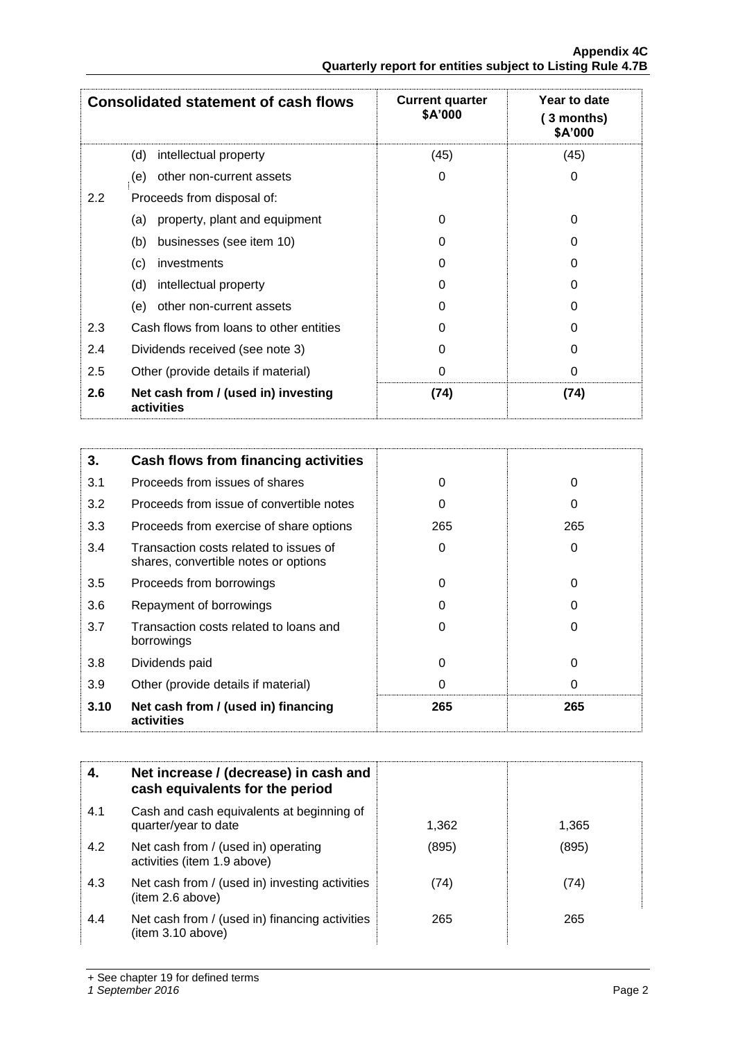| <b>Consolidated statement of cash flows</b> |                                                   | <b>Current quarter</b><br>\$A'000 | Year to date<br>3 months)<br>\$A'000 |
|---------------------------------------------|---------------------------------------------------|-----------------------------------|--------------------------------------|
|                                             | intellectual property<br>(d)                      | (45)                              | (45)                                 |
|                                             | other non-current assets<br>(e)                   | 0                                 | 0                                    |
| $2.2^{\circ}$                               | Proceeds from disposal of:                        |                                   |                                      |
|                                             | property, plant and equipment<br>(a)              | 0                                 | 0                                    |
|                                             | businesses (see item 10)<br>(b)                   | 0                                 | O                                    |
|                                             | (c)<br>investments                                | 0                                 | 0                                    |
|                                             | (d)<br>intellectual property                      | 0                                 | O                                    |
|                                             | other non-current assets<br>(e)                   | 0                                 | 0                                    |
| 2.3                                         | Cash flows from loans to other entities           | O                                 | U                                    |
| 2.4                                         | Dividends received (see note 3)                   | 0                                 | 0                                    |
| 2.5                                         | Other (provide details if material)               | 0                                 | 0                                    |
| 2.6                                         | Net cash from / (used in) investing<br>activities | (74)                              | (74)                                 |

| 3.   | Cash flows from financing activities                                           |     |     |
|------|--------------------------------------------------------------------------------|-----|-----|
| 3.1  | Proceeds from issues of shares                                                 | 0   | 0   |
| 3.2  | Proceeds from issue of convertible notes                                       | 0   | O   |
| 3.3  | Proceeds from exercise of share options                                        | 265 | 265 |
| 3.4  | Transaction costs related to issues of<br>shares, convertible notes or options | 0   | 0   |
| 3.5  | Proceeds from borrowings                                                       | 0   | 0   |
| 3.6  | Repayment of borrowings                                                        | O   |     |
| 3.7  | Transaction costs related to loans and<br>borrowings                           | 0   |     |
| 3.8  | Dividends paid                                                                 | 0   | 0   |
| 3.9  | Other (provide details if material)                                            | 0   | 0   |
| 3.10 | Net cash from / (used in) financing<br>activities                              | 265 | 265 |

| 4.  | Net increase / (decrease) in cash and<br>cash equivalents for the period |       |       |
|-----|--------------------------------------------------------------------------|-------|-------|
| 4.1 | Cash and cash equivalents at beginning of<br>quarter/year to date        | 1,362 | 1,365 |
| 4.2 | Net cash from / (used in) operating<br>activities (item 1.9 above)       | (895) | (895) |
| 4.3 | Net cash from / (used in) investing activities<br>(item 2.6 above)       | (74)  | (74)  |
| 4.4 | Net cash from / (used in) financing activities<br>(item 3.10 above)      | 265   | 265   |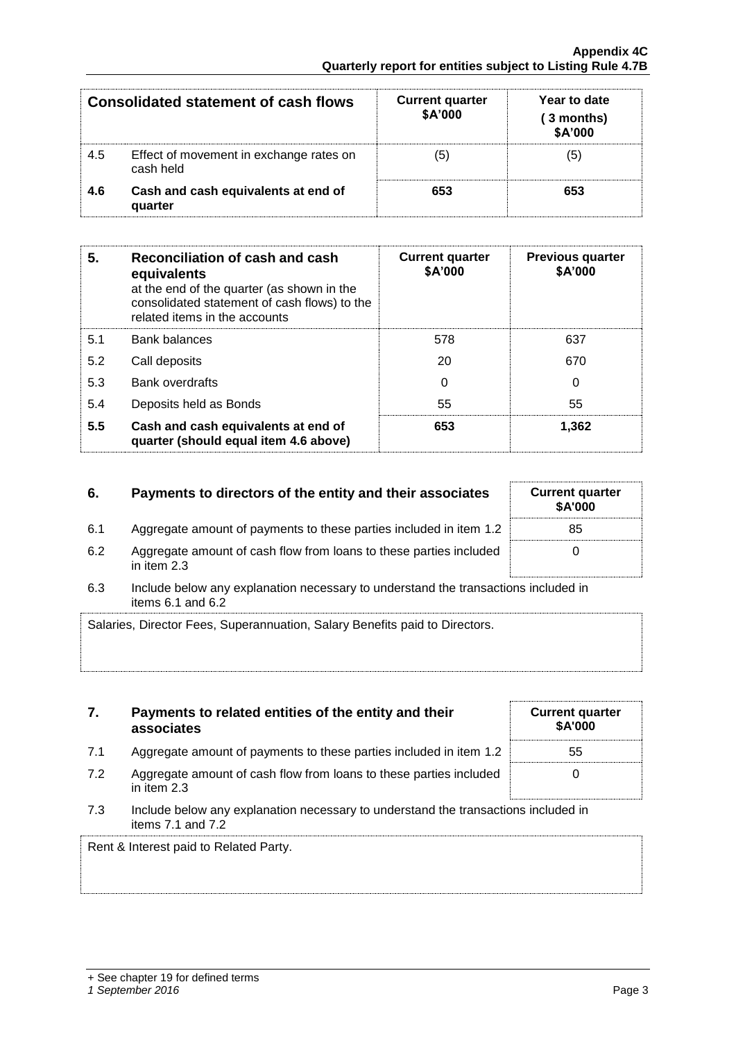|     | Consolidated statement of cash flows                 | <b>Current quarter</b><br>\$A'000 | Year to date<br>(3 months)<br>\$A'000 |
|-----|------------------------------------------------------|-----------------------------------|---------------------------------------|
| 4.5 | Effect of movement in exchange rates on<br>cash held | (5                                |                                       |
| 4.6 | Cash and cash equivalents at end of<br>quarter       | 653                               | 653                                   |

| 5.  | Reconciliation of cash and cash<br>equivalents<br>at the end of the quarter (as shown in the<br>consolidated statement of cash flows) to the<br>related items in the accounts | <b>Current quarter</b><br>\$A'000 | <b>Previous quarter</b><br>\$A'000 |
|-----|-------------------------------------------------------------------------------------------------------------------------------------------------------------------------------|-----------------------------------|------------------------------------|
| 5.1 | <b>Bank balances</b>                                                                                                                                                          | 578                               | 637                                |
| 5.2 | Call deposits                                                                                                                                                                 | 20                                | 670                                |
| 5.3 | <b>Bank overdrafts</b>                                                                                                                                                        | 0                                 | 0                                  |
| 5.4 | Deposits held as Bonds                                                                                                                                                        | 55                                | 55                                 |
| 5.5 | Cash and cash equivalents at end of<br>quarter (should equal item 4.6 above)                                                                                                  | 653                               | 1,362                              |

## **6.** Payments to directors of the entity and their associates

- 6.1 Aggregate amount of payments to these parties included in item 1.2
- 6.2 Aggregate amount of cash flow from loans to these parties included in item 2.3

**7. Payments to related entities of the entity and their** 

6.3 Include below any explanation necessary to understand the transactions included in items  $6.1$  and  $6.2$ 

| Salaries, Director Fees, Superannuation, Salary Benefits paid to Directors. |  |
|-----------------------------------------------------------------------------|--|
|                                                                             |  |

|     | associates                                                                          | <b>SA'0</b> |
|-----|-------------------------------------------------------------------------------------|-------------|
| 7.1 | Aggregate amount of payments to these parties included in item 1.2                  | 55          |
| 7.2 | Aggregate amount of cash flow from loans to these parties included<br>in item $2.3$ | 0           |

7.3 Include below any explanation necessary to understand the transactions included in items 7.1 and 7.2

Rent & Interest paid to Related Party.

| <b>Current quarter</b><br>\$A'000 |
|-----------------------------------|
| 55                                |
| 0                                 |

| <b>Current quarter</b><br>\$A'000 |  |
|-----------------------------------|--|
| 85                                |  |
| ი                                 |  |
|                                   |  |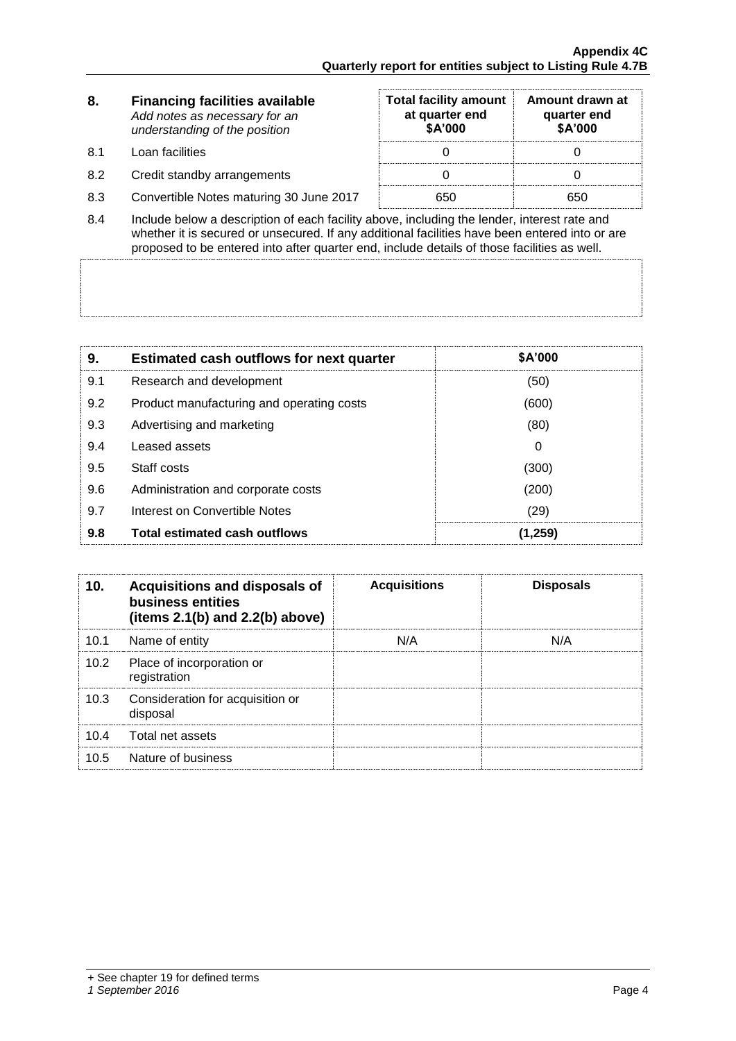| 8.  | <b>Financing facilities available</b><br>Add notes as necessary for an<br>understanding of the position | <b>Total facility amount</b><br>at quarter end<br>\$A'000 | Amount drawn at<br>quarter end<br>\$A'000 |
|-----|---------------------------------------------------------------------------------------------------------|-----------------------------------------------------------|-------------------------------------------|
| 8.1 | Loan facilities                                                                                         |                                                           |                                           |
| 8.2 | Credit standby arrangements                                                                             |                                                           |                                           |
| 8.3 | Convertible Notes maturing 30 June 2017                                                                 | 650                                                       | 650                                       |

8.4 Include below a description of each facility above, including the lender, interest rate and whether it is secured or unsecured. If any additional facilities have been entered into or are proposed to be entered into after quarter end, include details of those facilities as well.

| 9.  | <b>Estimated cash outflows for next quarter</b> | \$A'000 |
|-----|-------------------------------------------------|---------|
| 9.1 | Research and development                        | (50)    |
| 9.2 | Product manufacturing and operating costs       | (600)   |
| 9.3 | Advertising and marketing                       | (80)    |
| 9.4 | Leased assets                                   | 0       |
| 9.5 | Staff costs                                     | (300)   |
| 9.6 | Administration and corporate costs              | (200)   |
| 9.7 | Interest on Convertible Notes                   | (29)    |
| 9.8 | <b>Total estimated cash outflows</b>            | (1,259) |

| 10 <sub>1</sub> | Acquisitions and disposals of<br>business entities<br>(items $2.1(b)$ and $2.2(b)$ above) | <b>Acquisitions</b> | <b>Disposals</b> |
|-----------------|-------------------------------------------------------------------------------------------|---------------------|------------------|
| 10.1            | Name of entity                                                                            | N/A                 | N/A              |
| 10.2            | Place of incorporation or<br>registration                                                 |                     |                  |
| 10.3            | Consideration for acquisition or<br>disposal                                              |                     |                  |
| 10.4            | Total net assets                                                                          |                     |                  |
| 10.5            | Nature of business                                                                        |                     |                  |